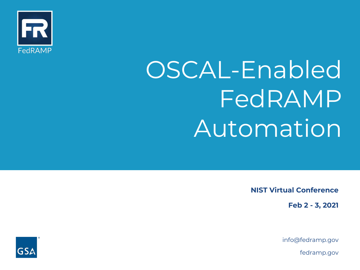

# OSCAL-Enabled FedRAMP Automation

NIST Virtual Conference

Feb 2 - 3, 2021

[info@fedramp.gov](mailto:info@fedramp.gov)

[fedramp.gov](https://fedramp.gov)

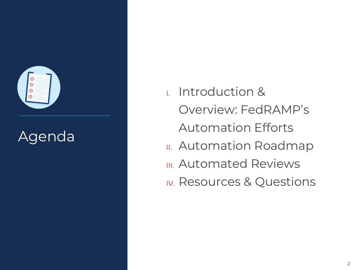

 I. Introduction & IV. Resources & Questions Overview: FedRAMP's Agenda<br>
Agenda II. Automation Roadmap **III. Automated Reviews**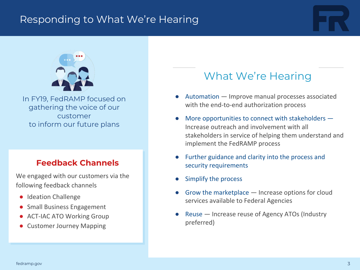## Responding to What We're Hearing





 In FY19, FedRAMP focused on gathering the voice of our to inform our future plans customer

## Feedback Channels

 We engaged with our customers via the following feedback channels

- Ideation Challenge
- Small Business Engagement
- ACT-IAC ATO Working Group
- Customer Journey Mapping

## What We're Hearing

- ● Automation Improve manual processes associated with the end-to-end authorization process
- ● More opportunities to connect with stakeholders Increase outreach and involvement with all implement the FedRAMP process stakeholders in service of helping them understand and
- ● Further guidance and clarity into the process and security requirements
- Simplify the process
- ● Grow the marketplace Increase options for cloud services available to Federal Agencies
- ● Reuse Increase reuse of Agency ATOs (Industry preferred)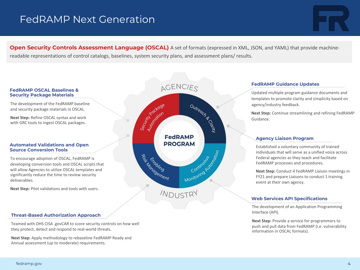## FedRAMP Next Generation



Open Security Controls Assessment Language (OSCAL) A set of formats (expressed in XML, JSON, and YAML) that provide machine-readable representations of control catalogs, baselines, system security plans, and assessment plans/ results.

#### FedRAMP OSCAL Baselines & Security Package Materials

 The development of the FedRAMP baseline and security package materials in OSCAL.

 **Next Step:** Refine OSCAL syntax and work with GRC tools to ingest OSCAL packages.

#### Automated Validations and Open Source Conversion Tools

 To encourage adoption of OSCAL, FedRAMP is developing conversion tools and OSCAL scripts that will allow Agencies to utilize OSCAL templates and significantly reduce the time to review security deliverables.

 **Next Step:** Pilot validations and tools with users.



#### FedRAMP Guidance Updates

 Updated multiple program guidance documents and templates to promote clarity and simplicity based on agency/industry feedback.

 **Next Step:** Continue streamlining and refining FedRAMP Guidance.

#### Agency Liaison Program

 Established a voluntary community of trained individuals that will serve as a unified voice across Federal agencies as they teach and facilitate FedRAMP processes and procedures.

 **Next Step:** Conduct 4 FedRAMP Liaison meetings in FY21 and prepare Liaisons to conduct 1 training event at their own agency.

#### Web Services API Specifications

 The development of an Application Programming Interface (API).

 **Next Step:** Provide a service for programmers to push and pull data from FedRAMP (i.e. vulnerability information in OSCAL formats).

#### Threat-Based Authorization Approach

 Teamed with DHS CISA .govCAR to score security controls on how well they protect, detect and respond to real-world threats.

 **Next Step:** Apply methodology to rebaseline FedRAMP Ready and Annual assessment (up to moderate) requirements.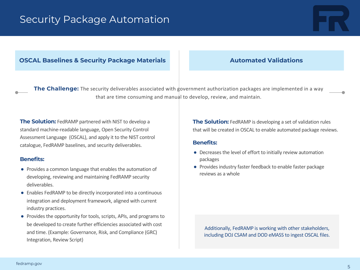## Security Package Automation

#### OSCAL Baselines & Security Package Materials **Automated Validations**

The Challenge: The security deliverables associated with government authorization packages are implemented in a way that are time consuming and manual to develop, review, and maintain.

The Solution: FedRAMP partnered with NIST to develop a standard machine-readable language, Open Security Control Assessment Language (OSCAL), and apply it to the NIST control catalogue, FedRAMP baselines, and security deliverables.

#### Benefits:

- ● Provides a common language that enables the automation of developing, reviewing and maintaining FedRAMP security deliverables.
- ● Enables FedRAMP to be directly incorporated into a continuous integration and deployment framework, aligned with current industry practices.
- ● Provides the opportunity for tools, scripts, APIs, and programs to be developed to create further efficiencies associated with cost and time. (Example: Governance, Risk, and Compliance (GRC) Integration, Review Script)

The Solution: FedRAMP is developing a set of validation rules that will be created in OSCAL to enable automated package reviews.

#### Benefits:

- ● Decreases the level of effort to initially review automation packages
- ● Provides industry faster feedback to enable faster package reviews as a whole

 Additionally, FedRAMP is working with other stakeholders, including DOJ CSAM and DOD eMASS to ingest OSCAL files.

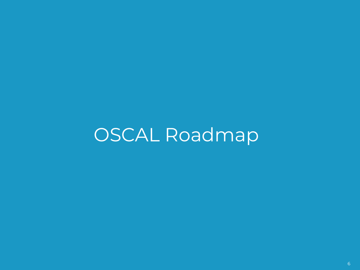OSCAL Roadmap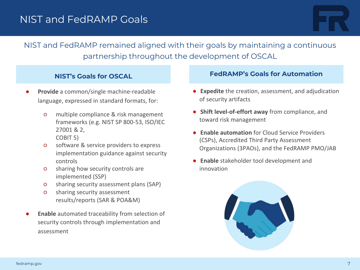## NIST and FedRAMP Goals



## NIST and FedRAMP remained aligned with their goals by maintaining a continuous partnership throughout the development of OSCAL

#### NIST's Goals for OSCAL

- language, expressed in standard formats, for: **Provide** a common/single machine-readable
	- ○ multiple compliance & risk management frameworks (e.g. NIST SP 800-53, ISO/IEC 27001 & 2, COBIT 5)
	- ○ software & service providers to express implementation guidance against security controls
	- ○ sharing how security controls are implemented (SSP)
	- sharing security assessment plans (SAP)
	- ○ sharing security assessment results/reports (SAR & POA&M)
- ● **Enable** automated traceability from selection of security controls through implementation and assessment

#### FedRAMP's Goals for Automation

- of security artifacts ● **Expedite** the creation, assessment, and adjudication
- toward risk management ● **Shift level-of-effort away** from compliance, and
- **Enable automation** for Cloud Service Providers (CSPs), Accredited Third Party Assessment Organizations (3PAOs), and the FedRAMP PMO/JAB
- ● **Enable** stakeholder tool development and innovation

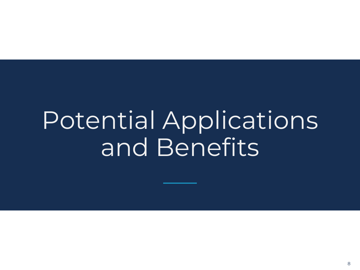# Potential Applications and Benefits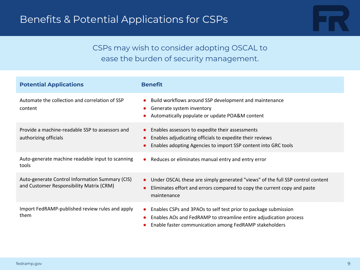

## CSPs may wish to consider adopting OSCAL to ease the burden of security management.

| <b>Potential Applications</b>                                                               | <b>Benefit</b>                                                                                                                                                                                              |
|---------------------------------------------------------------------------------------------|-------------------------------------------------------------------------------------------------------------------------------------------------------------------------------------------------------------|
| Automate the collection and correlation of SSP<br>content                                   | Build workflows around SSP development and maintenance<br>Generate system inventory<br>Automatically populate or update POA&M content                                                                       |
| Provide a machine-readable SSP to assessors and<br>authorizing officials                    | Enables assessors to expedite their assessments<br>$\bullet$<br>Enables adjudicating officials to expedite their reviews<br>Enables adopting Agencies to import SSP content into GRC tools                  |
| Auto-generate machine readable input to scanning<br>tools                                   | Reduces or eliminates manual entry and entry error<br>$\bullet$                                                                                                                                             |
| Auto-generate Control Information Summary (CIS)<br>and Customer Responsibility Matrix (CRM) | Under OSCAL these are simply generated "views" of the full SSP control content<br>$\bullet$<br>Eliminates effort and errors compared to copy the current copy and paste<br>maintenance                      |
| Import FedRAMP-published review rules and apply<br>them                                     | Enables CSPs and 3PAOs to self test prior to package submission<br>$\bullet$<br>Enables AOs and FedRAMP to streamline entire adjudication process<br>Enable faster communication among FedRAMP stakeholders |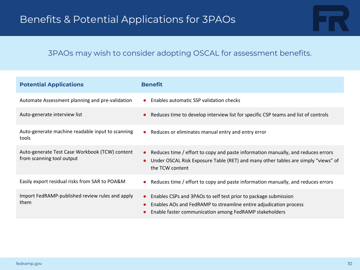### 3PAOs may wish to consider adopting OSCAL for assessment benefits.

| <b>Potential Applications</b>                                               | <b>Benefit</b>                                                                                                                                                                                              |
|-----------------------------------------------------------------------------|-------------------------------------------------------------------------------------------------------------------------------------------------------------------------------------------------------------|
| Automate Assessment planning and pre-validation                             | Enables automatic SSP validation checks<br>$\bullet$                                                                                                                                                        |
| Auto-generate interview list                                                | Reduces time to develop interview list for specific CSP teams and list of controls                                                                                                                          |
| Auto-generate machine readable input to scanning<br>tools                   | Reduces or eliminates manual entry and entry error<br>$\bullet$                                                                                                                                             |
| Auto-generate Test Case Workbook (TCW) content<br>from scanning tool output | Reduces time / effort to copy and paste information manually, and reduces errors<br>$\bullet$<br>Under OSCAL Risk Exposure Table (RET) and many other tables are simply "views" of<br>the TCW content       |
| Easily export residual risks from SAR to POA&M                              | Reduces time / effort to copy and paste information manually, and reduces errors<br>$\bullet$                                                                                                               |
| Import FedRAMP-published review rules and apply<br>them                     | Enables CSPs and 3PAOs to self test prior to package submission<br>$\bullet$<br>Enables AOs and FedRAMP to streamline entire adjudication process<br>Enable faster communication among FedRAMP stakeholders |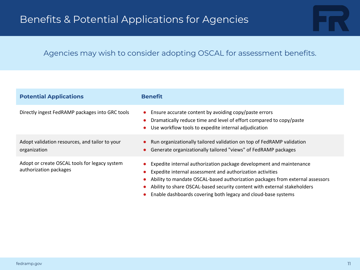

| <b>Potential Applications</b>                                           | <b>Benefit</b>                                                                                                                                                                                                                                                                                                                                                 |
|-------------------------------------------------------------------------|----------------------------------------------------------------------------------------------------------------------------------------------------------------------------------------------------------------------------------------------------------------------------------------------------------------------------------------------------------------|
| Directly ingest FedRAMP packages into GRC tools                         | Ensure accurate content by avoiding copy/paste errors<br>$\bullet$<br>Dramatically reduce time and level of effort compared to copy/paste<br>Use workflow tools to expedite internal adjudication                                                                                                                                                              |
| Adopt validation resources, and tailor to your<br>organization          | Run organizationally tailored validation on top of FedRAMP validation<br>Generate organizationally tailored "views" of FedRAMP packages                                                                                                                                                                                                                        |
| Adopt or create OSCAL tools for legacy system<br>authorization packages | Expedite internal authorization package development and maintenance<br>Expedite internal assessment and authorization activities<br>Ability to mandate OSCAL-based authorization packages from external assessors<br>Ability to share OSCAL-based security content with external stakeholders<br>Enable dashboards covering both legacy and cloud-base systems |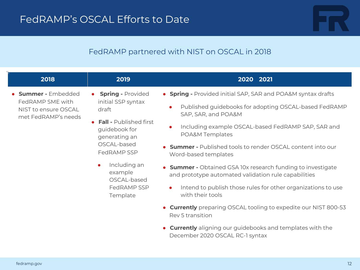

### FedRAMP partnered with NIST on OSCAL in 2018

| 2018                                                                                                                                                                                                                                                                               | 2019                          | 2020 2021                                                                                                           |
|------------------------------------------------------------------------------------------------------------------------------------------------------------------------------------------------------------------------------------------------------------------------------------|-------------------------------|---------------------------------------------------------------------------------------------------------------------|
| • Summer - Embedded<br>$\bullet$<br>FedRAMP SME with<br>initial SSP syntax<br>draft<br>NIST to ensure OSCAL<br>met FedRAMP's needs<br>$\bullet$<br>guidebook for<br>generating an<br>OSCAL-based<br>FedRAMP SSP<br>Including an<br>$\bullet$<br>example<br>OSCAL-based<br>Template | <b>Spring - Provided</b>      | • Spring - Provided initial SAP, SAR and POA&M syntax drafts                                                        |
|                                                                                                                                                                                                                                                                                    |                               | Published guidebooks for adopting OSCAL-based FedRAMP<br>$\bullet$<br>SAP, SAR, and POA&M                           |
|                                                                                                                                                                                                                                                                                    | <b>Fall - Published first</b> | Including example OSCAL-based FedRAMP SAP, SAR and<br>$\bullet$<br>POA&M Templates                                  |
|                                                                                                                                                                                                                                                                                    |                               | • Summer - Published tools to render OSCAL content into our<br>Word-based templates                                 |
|                                                                                                                                                                                                                                                                                    |                               | • Summer - Obtained GSA 10x research funding to investigate<br>and prototype automated validation rule capabilities |
|                                                                                                                                                                                                                                                                                    | FedRAMP SSP                   | Intend to publish those rules for other organizations to use<br>$\bullet$<br>with their tools                       |
|                                                                                                                                                                                                                                                                                    |                               | • Currently preparing OSCAL tooling to expedite our NIST 800-53<br>Rev 5 transition                                 |
|                                                                                                                                                                                                                                                                                    |                               | • Currently aligning our guidebooks and templates with the<br>December 2020 OSCAL RC-1 syntax                       |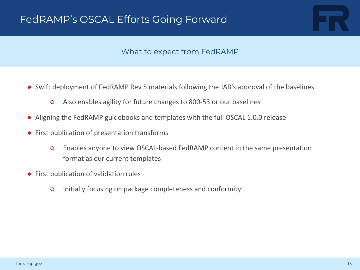

#### What to expect from FedRAMP

- ● Swift deployment of FedRAMP Rev 5 materials following the JAB's approval of the baselines
	- Also enables agility for future changes to 800-53 or our baselines
- Aligning the FedRAMP guidebooks and templates with the full OSCAL 1.0.0 release
- First publication of presentation transforms
	- ○ Enables anyone to view OSCAL-based FedRAMP content in the same presentation format as our current templates
- First publication of validation rules
	- Initially focusing on package completeness and conformity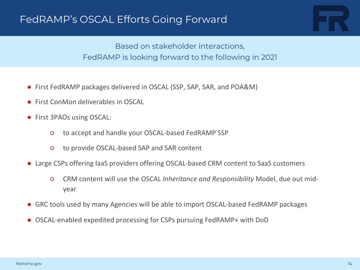

## FedRAMP is looking forward to the following in 2021 Based on stakeholder interactions,

- First FedRAMP packages delivered in OSCAL (SSP, SAP, SAR, and POA&M)
- First ConMon deliverables in OSCAL
- ● First 3PAOs using OSCAL:
	- to accept and handle your OSCAL-based FedRAMP SSP
	- to provide OSCAL-based SAP and SAR content
- ● Large CSPs offering IaaS providers offering OSCAL-based CRM content to SaaS customers
	- ○ CRM content will use the OSCAL *Inheritance and Responsibility* Model, due out midyear
- GRC tools used by many Agencies will be able to import OSCAL-based FedRAMP packages
- OSCAL-enabled expedited processing for CSPs pursuing FedRAMP+ with DoD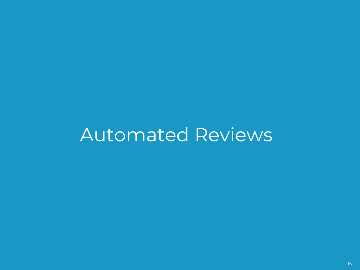# Automated Reviews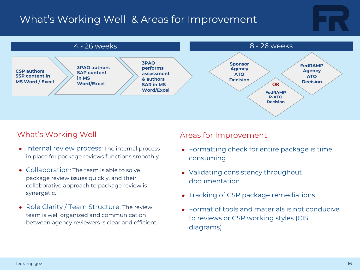## What's Working Well & Areas for Improvement



### What's Working Well

- Internal review process: The internal process in place for package reviews functions smoothly
- Collaboration: The team is able to solve package review issues quickly, and their collaborative approach to package review is synergetic.
- Role Clarity / Team Structure: The review team is well organized and communication between agency reviewers is clear and efficient.

#### Areas for Improvement

- Formatting check for entire package is time consuming
- Validating consistency throughout documentation
- Tracking of CSP package remediations
- Format of tools and materials is not conducive to reviews or CSP working styles (CIS, diagrams)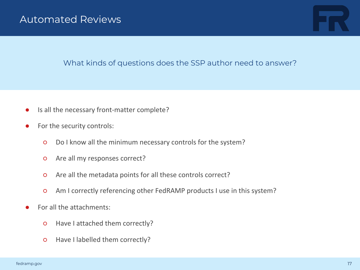

#### What kinds of questions does the SSP author need to answer?

- Is all the necessary front-matter complete?
- ● For the security controls:
	- Do I know all the minimum necessary controls for the system?
	- Are all my responses correct?
	- Are all the metadata points for all these controls correct?
	- Am I correctly referencing other FedRAMP products I use in this system?
- ● For all the attachments:
	- Have I attached them correctly?
	- Have I labelled them correctly?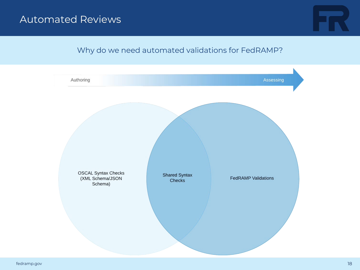## Automated Reviews



### Why do we need automated validations for FedRAMP?

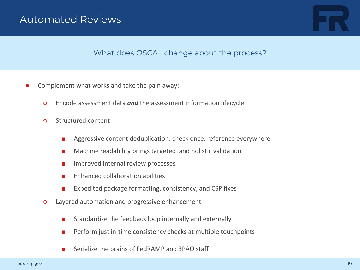## Automated Reviews



#### What does OSCAL change about the process?

- ● Complement what works and take the pain away:
	- Encode assessment data *and* the assessment information lifecycle
	- Structured content
		- Aggressive content deduplication: check once, reference everywhere
		- Machine readability brings targeted and holistic validation
		- Improved internal review processes
		- Enhanced collaboration abilities
		- Expedited package formatting, consistency, and CSP fixes
	- ○ Layered automation and progressive enhancement
		- Standardize the feedback loop internally and externally
		- Perform just in-time consistency checks at multiple touchpoints
		- Serialize the brains of FedRAMP and 3PAO staff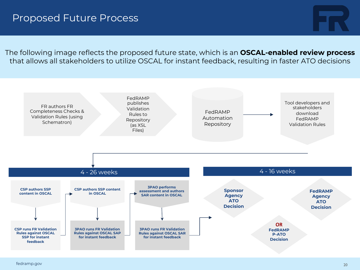

The following image reflects the proposed future state, which is an **OSCAL-enabled review process** that allows all stakeholders to utilize OSCAL for instant feedback, resulting in faster ATO decisions

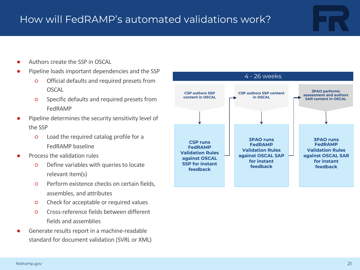- Authors create the SSP in OSCAL
- ● Pipeline loads important dependencies and the SSP
	- ○ Official defaults and required presets from OSCAL
	- ○ Specific defaults and required presets from FedRAMP
- ● Pipeline determines the security sensitivity level of the SSP
	- ○ Load the required catalog profile for a FedRAMP baseline
- Process the validation rules
	- ○ Define variables with queries to locate relevant item(s)
	- ○ Perform existence checks on certain fields, assembles, and attributes
	- Check for acceptable or required values
	- ○ Cross-reference fields between different fields and assemblies
- ● Generate results report in a machine-readable standard for document validation (SVRL or XML)

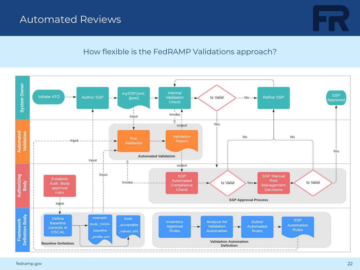## Automated Reviews



#### How flexible is the FedRAMP Validations approach?

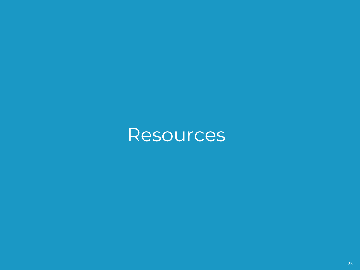## **Resources**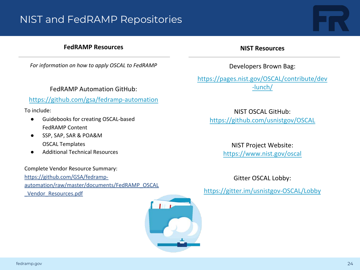## NIST and FedRAMP Repositories

#### **FedRAMP Resources**

 *For information on how to apply OSCAL to FedRAMP* 

FedRAMP Automation GitHub:

#### <https://github.com/gsa/fedramp-automation>

To include:

- ● Guidebooks for creating OSCAL-based FedRAMP Content
- SSP, SAP, SAR & POA&M OSCAL Templates
- Additional Technical Resources

Complete Vendor Resource Summary:

https://github.com/GSA/fedramp[automation/raw/master/documents/FedRAMP\\_OSCAL](https://github.com/GSA/fedramp-automation/raw/master/documents/FedRAMP_OSCAL_Vendor_Resources.pdf)  wendor\_Resources.pdf https://gitter.im/usnistgov-OSCAL/Lobby



#### **NIST Resources**

Developers Brown Bag:

[https://pages.nist.gov/OSCAL/contribute/dev](https://pages.nist.gov/OSCAL/contribute/dev-lunch/)  -lunch/

NIST OSCAL GitHub: <https://github.com/usnistgov/OSCAL>

> NIST Project Website: <https://www.nist.gov/oscal>

> > Gitter OSCAL Lobby: